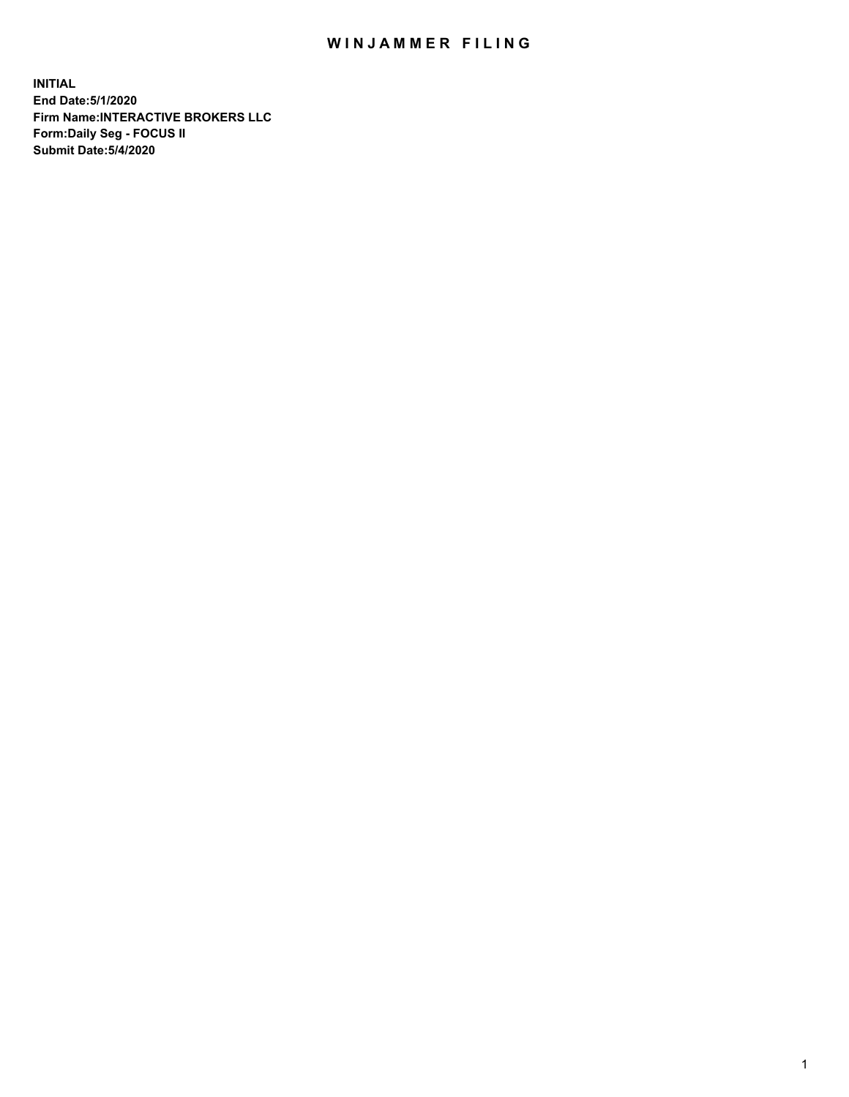## WIN JAMMER FILING

**INITIAL End Date:5/1/2020 Firm Name:INTERACTIVE BROKERS LLC Form:Daily Seg - FOCUS II Submit Date:5/4/2020**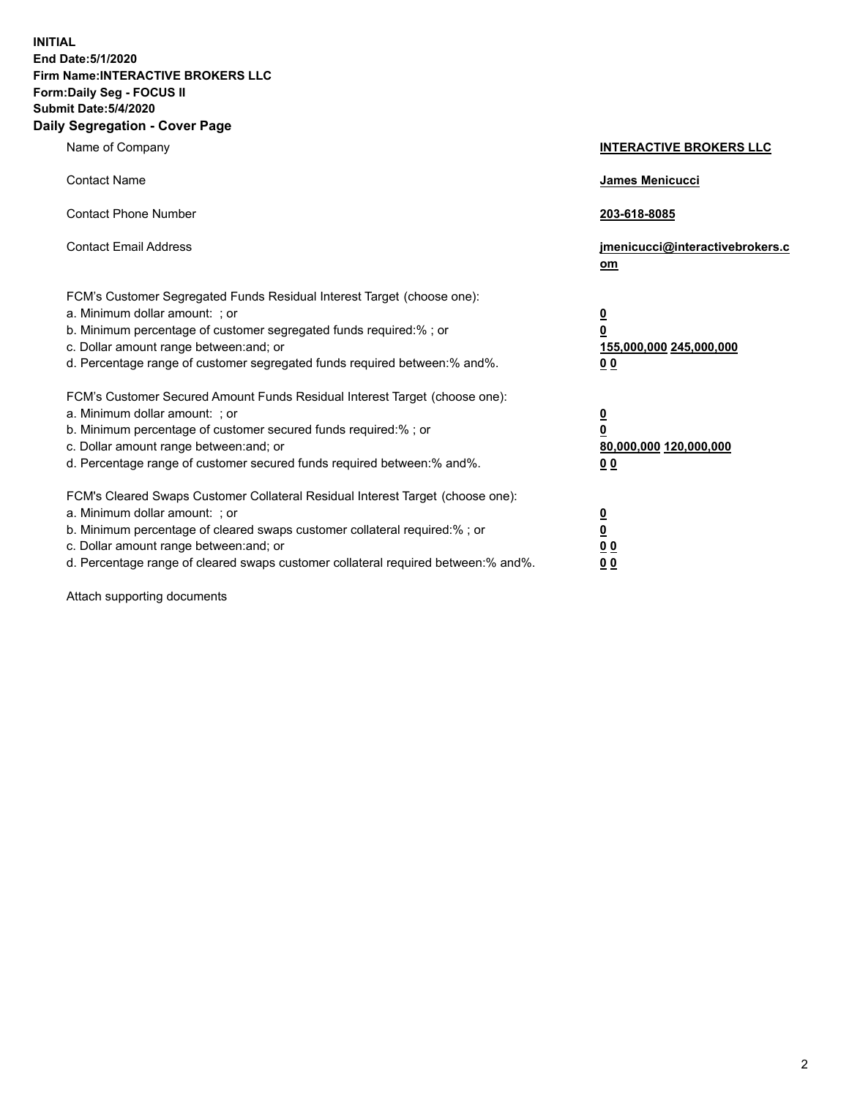**INITIAL End Date:5/1/2020 Firm Name:INTERACTIVE BROKERS LLC Form:Daily Seg - FOCUS II Submit Date:5/4/2020 Daily Segregation - Cover Page**

| Name of Company                                                                                                                                                                                                                                                                                                                | <b>INTERACTIVE BROKERS LLC</b>                                                                  |
|--------------------------------------------------------------------------------------------------------------------------------------------------------------------------------------------------------------------------------------------------------------------------------------------------------------------------------|-------------------------------------------------------------------------------------------------|
| <b>Contact Name</b>                                                                                                                                                                                                                                                                                                            | James Menicucci                                                                                 |
| <b>Contact Phone Number</b>                                                                                                                                                                                                                                                                                                    | 203-618-8085                                                                                    |
| <b>Contact Email Address</b>                                                                                                                                                                                                                                                                                                   | jmenicucci@interactivebrokers.c<br>om                                                           |
| FCM's Customer Segregated Funds Residual Interest Target (choose one):<br>a. Minimum dollar amount: : or<br>b. Minimum percentage of customer segregated funds required:% ; or<br>c. Dollar amount range between: and; or<br>d. Percentage range of customer segregated funds required between:% and%.                         | $\overline{\mathbf{0}}$<br>$\overline{\mathbf{0}}$<br>155,000,000 245,000,000<br>0 <sub>0</sub> |
| FCM's Customer Secured Amount Funds Residual Interest Target (choose one):<br>a. Minimum dollar amount: ; or<br>b. Minimum percentage of customer secured funds required:% ; or<br>c. Dollar amount range between: and; or<br>d. Percentage range of customer secured funds required between:% and%.                           | $\frac{0}{0}$<br>80,000,000 120,000,000<br>00                                                   |
| FCM's Cleared Swaps Customer Collateral Residual Interest Target (choose one):<br>a. Minimum dollar amount: ; or<br>b. Minimum percentage of cleared swaps customer collateral required:% ; or<br>c. Dollar amount range between: and; or<br>d. Percentage range of cleared swaps customer collateral required between:% and%. | $\overline{\mathbf{0}}$<br>$\underline{\mathbf{0}}$<br>0 <sub>0</sub><br>0 <sub>0</sub>         |

Attach supporting documents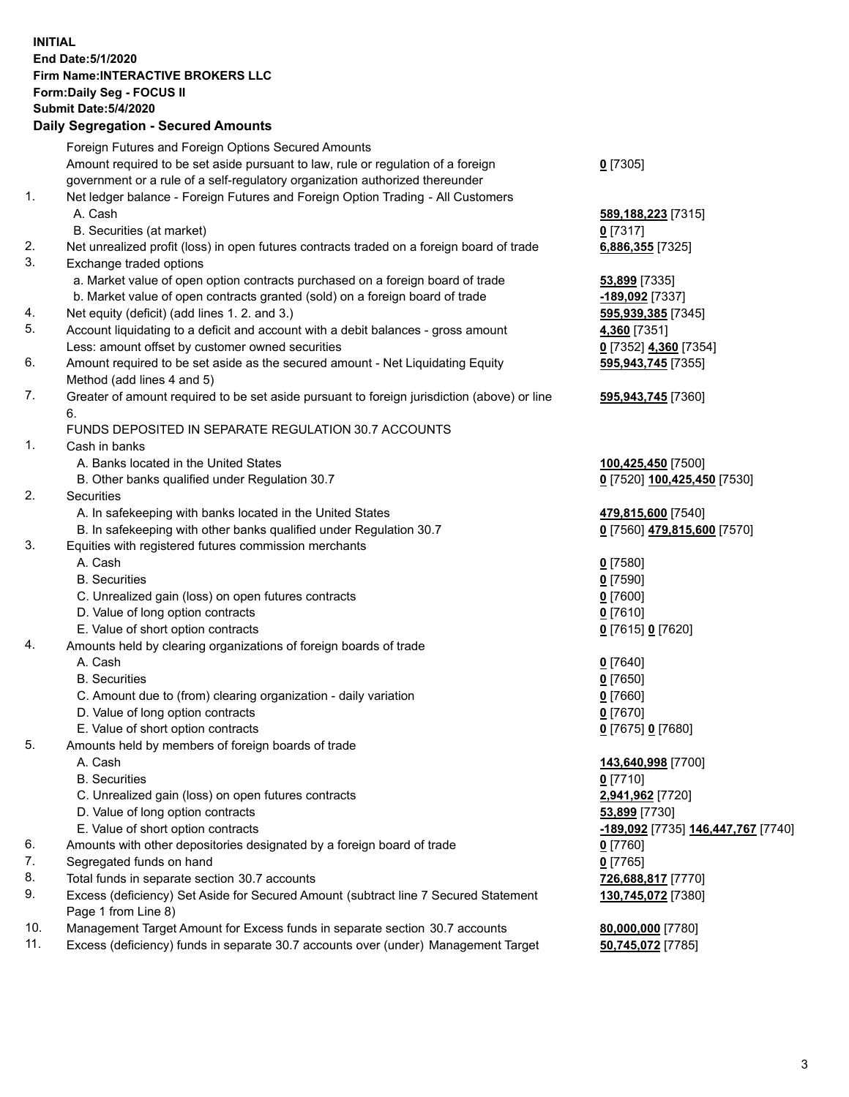## **INITIAL End Date:5/1/2020 Firm Name:INTERACTIVE BROKERS LLC Form:Daily Seg - FOCUS II Submit Date:5/4/2020 Daily Segregation - Secured Amounts**

|     | Daily Ocglegation - Occuled Anioants                                                        |                                    |
|-----|---------------------------------------------------------------------------------------------|------------------------------------|
|     | Foreign Futures and Foreign Options Secured Amounts                                         |                                    |
|     | Amount required to be set aside pursuant to law, rule or regulation of a foreign            | $0$ [7305]                         |
|     | government or a rule of a self-regulatory organization authorized thereunder                |                                    |
| 1.  | Net ledger balance - Foreign Futures and Foreign Option Trading - All Customers             |                                    |
|     | A. Cash                                                                                     | 589,188,223 [7315]                 |
|     | B. Securities (at market)                                                                   | $0$ [7317]                         |
| 2.  | Net unrealized profit (loss) in open futures contracts traded on a foreign board of trade   | 6,886,355 [7325]                   |
| 3.  | Exchange traded options                                                                     |                                    |
|     | a. Market value of open option contracts purchased on a foreign board of trade              | <b>53,899</b> [7335]               |
|     | b. Market value of open contracts granted (sold) on a foreign board of trade                | -189,092 [7337]                    |
| 4.  | Net equity (deficit) (add lines 1. 2. and 3.)                                               | 595,939,385 [7345]                 |
| 5.  | Account liquidating to a deficit and account with a debit balances - gross amount           | 4,360 [7351]                       |
|     | Less: amount offset by customer owned securities                                            | 0 [7352] 4,360 [7354]              |
| 6.  | Amount required to be set aside as the secured amount - Net Liquidating Equity              | 595,943,745 [7355]                 |
|     | Method (add lines 4 and 5)                                                                  |                                    |
| 7.  | Greater of amount required to be set aside pursuant to foreign jurisdiction (above) or line | 595,943,745 [7360]                 |
|     | 6.                                                                                          |                                    |
|     | FUNDS DEPOSITED IN SEPARATE REGULATION 30.7 ACCOUNTS                                        |                                    |
| 1.  | Cash in banks                                                                               |                                    |
|     | A. Banks located in the United States                                                       | 100,425,450 [7500]                 |
|     | B. Other banks qualified under Regulation 30.7                                              | 0 [7520] 100,425,450 [7530]        |
| 2.  | Securities                                                                                  |                                    |
|     | A. In safekeeping with banks located in the United States                                   | 479,815,600 [7540]                 |
|     | B. In safekeeping with other banks qualified under Regulation 30.7                          | 0 [7560] 479,815,600 [7570]        |
| 3.  | Equities with registered futures commission merchants                                       |                                    |
|     | A. Cash                                                                                     | $0$ [7580]                         |
|     | <b>B.</b> Securities                                                                        | $0$ [7590]                         |
|     | C. Unrealized gain (loss) on open futures contracts                                         | $0$ [7600]                         |
|     | D. Value of long option contracts                                                           | $0$ [7610]                         |
|     | E. Value of short option contracts                                                          | 0 [7615] 0 [7620]                  |
| 4.  | Amounts held by clearing organizations of foreign boards of trade                           |                                    |
|     | A. Cash                                                                                     | $0$ [7640]                         |
|     | <b>B.</b> Securities                                                                        | $0$ [7650]                         |
|     | C. Amount due to (from) clearing organization - daily variation                             | $0$ [7660]                         |
|     | D. Value of long option contracts                                                           | $0$ [7670]                         |
|     | E. Value of short option contracts                                                          | 0 [7675] 0 [7680]                  |
| 5.  | Amounts held by members of foreign boards of trade                                          |                                    |
|     | A. Cash                                                                                     | 143,640,998 [7700]                 |
|     | <b>B.</b> Securities                                                                        | $0$ [7710]                         |
|     | C. Unrealized gain (loss) on open futures contracts                                         | 2,941,962 [7720]                   |
|     | D. Value of long option contracts                                                           | 53,899 [7730]                      |
|     | E. Value of short option contracts                                                          | -189,092 [7735] 146,447,767 [7740] |
| 6.  | Amounts with other depositories designated by a foreign board of trade                      | 0 [7760]                           |
| 7.  | Segregated funds on hand                                                                    | $0$ [7765]                         |
| 8.  | Total funds in separate section 30.7 accounts                                               | 726,688,817 [7770]                 |
| 9.  | Excess (deficiency) Set Aside for Secured Amount (subtract line 7 Secured Statement         | 130,745,072 [7380]                 |
|     | Page 1 from Line 8)                                                                         |                                    |
| 10. | Management Target Amount for Excess funds in separate section 30.7 accounts                 | 80,000,000 [7780]                  |
| 11. | Excess (deficiency) funds in separate 30.7 accounts over (under) Management Target          | 50,745,072 [7785]                  |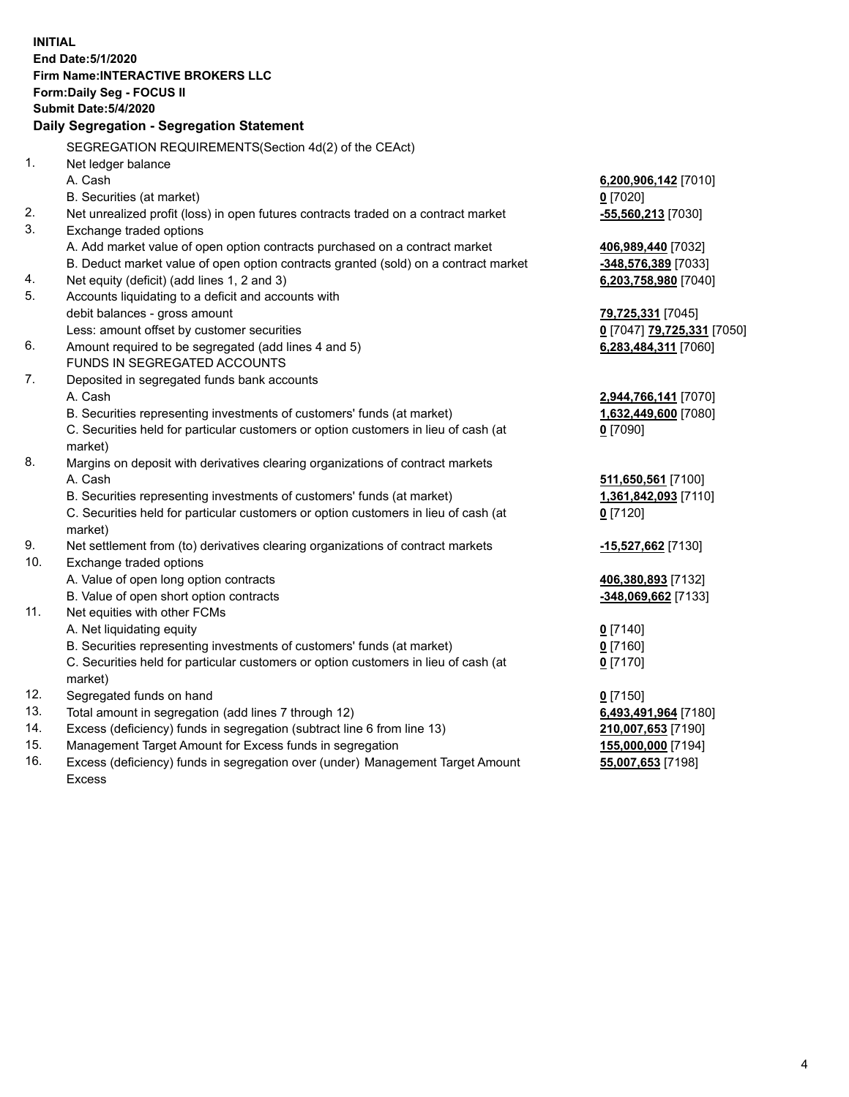**INITIAL End Date:5/1/2020 Firm Name:INTERACTIVE BROKERS LLC Form:Daily Seg - FOCUS II Submit Date:5/4/2020 Daily Segregation - Segregation Statement** SEGREGATION REQUIREMENTS(Section 4d(2) of the CEAct) 1. Net ledger balance A. Cash **6,200,906,142** [7010] B. Securities (at market) **0** [7020] 2. Net unrealized profit (loss) in open futures contracts traded on a contract market **-55,560,213** [7030] 3. Exchange traded options A. Add market value of open option contracts purchased on a contract market **406,989,440** [7032] B. Deduct market value of open option contracts granted (sold) on a contract market **-348,576,389** [7033] 4. Net equity (deficit) (add lines 1, 2 and 3) **6,203,758,980** [7040] 5. Accounts liquidating to a deficit and accounts with debit balances - gross amount **79,725,331** [7045] Less: amount offset by customer securities **0** [7047] **79,725,331** [7050] 6. Amount required to be segregated (add lines 4 and 5) **6,283,484,311** [7060] FUNDS IN SEGREGATED ACCOUNTS 7. Deposited in segregated funds bank accounts A. Cash **2,944,766,141** [7070] B. Securities representing investments of customers' funds (at market) **1,632,449,600** [7080] C. Securities held for particular customers or option customers in lieu of cash (at market) **0** [7090] 8. Margins on deposit with derivatives clearing organizations of contract markets A. Cash **511,650,561** [7100] B. Securities representing investments of customers' funds (at market) **1,361,842,093** [7110] C. Securities held for particular customers or option customers in lieu of cash (at market) **0** [7120] 9. Net settlement from (to) derivatives clearing organizations of contract markets **-15,527,662** [7130] 10. Exchange traded options A. Value of open long option contracts **406,380,893** [7132] B. Value of open short option contracts **-348,069,662** [7133] 11. Net equities with other FCMs A. Net liquidating equity **0** [7140] B. Securities representing investments of customers' funds (at market) **0** [7160] C. Securities held for particular customers or option customers in lieu of cash (at market) **0** [7170] 12. Segregated funds on hand **0** [7150] 13. Total amount in segregation (add lines 7 through 12) **6,493,491,964** [7180] 14. Excess (deficiency) funds in segregation (subtract line 6 from line 13) **210,007,653** [7190] 15. Management Target Amount for Excess funds in segregation **155,000,000** [7194] 16. Excess (deficiency) funds in segregation over (under) Management Target Amount **55,007,653** [7198]

Excess

4